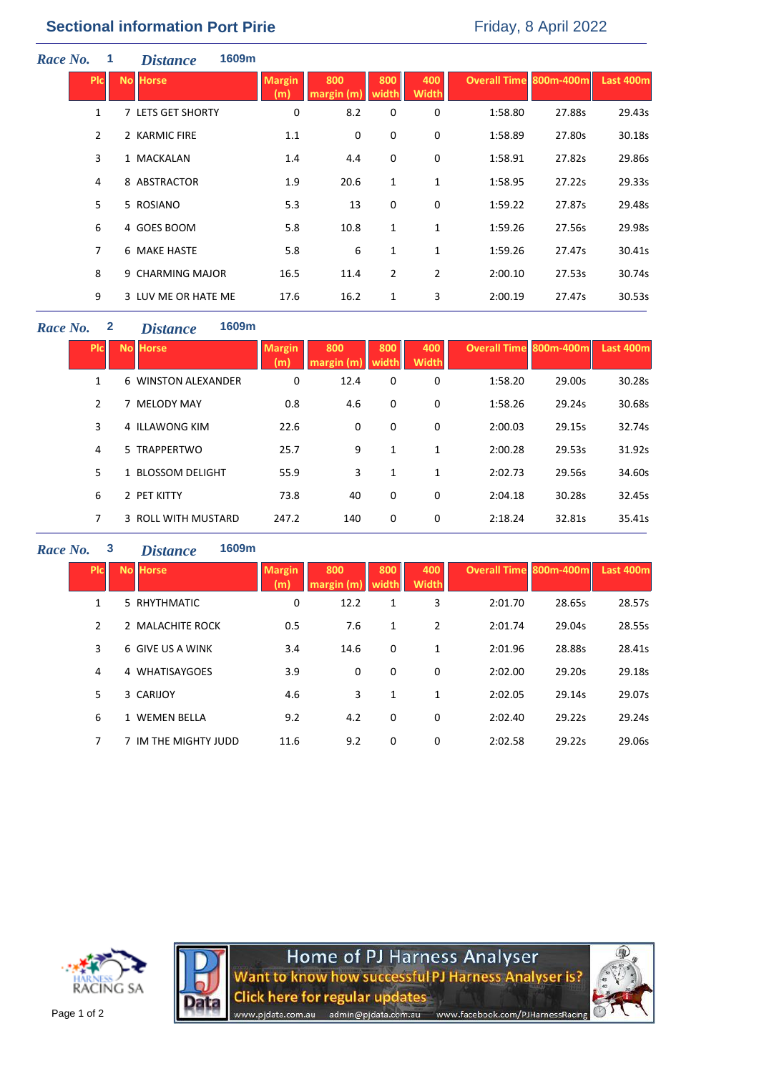| Race No. | 1              | <i>Distance</i>     | 1609m |                      |                   |                |                     |                               |        |           |
|----------|----------------|---------------------|-------|----------------------|-------------------|----------------|---------------------|-------------------------------|--------|-----------|
|          | <b>Picil</b>   | <b>No Horse</b>     |       | <b>Margin</b><br>(m) | 800<br>margin (m) | 800<br>width   | 400<br><b>Width</b> | <b>Overall Time 800m-400m</b> |        | Last 400m |
|          | $\mathbf{1}$   | 7 LETS GET SHORTY   |       | 0                    | 8.2               | 0              | 0                   | 1:58.80                       | 27.88s | 29.43s    |
|          | $\overline{2}$ | 2 KARMIC FIRE       |       | 1.1                  | 0                 | 0              | 0                   | 1:58.89                       | 27.80s | 30.18s    |
|          | 3              | 1 MACKALAN          |       | 1.4                  | 4.4               | 0              | 0                   | 1:58.91                       | 27.82s | 29.86s    |
|          | 4              | 8 ABSTRACTOR        |       | 1.9                  | 20.6              | $\mathbf{1}$   | 1                   | 1:58.95                       | 27.22s | 29.33s    |
|          | 5              | 5 ROSIANO           |       | 5.3                  | 13                | 0              | 0                   | 1:59.22                       | 27.87s | 29.48s    |
|          | 6              | 4 GOES BOOM         |       | 5.8                  | 10.8              | $\mathbf{1}$   | $\mathbf{1}$        | 1:59.26                       | 27.56s | 29.98s    |
|          | 7              | <b>6 MAKE HASTE</b> |       | 5.8                  | 6                 | $\mathbf{1}$   | $\mathbf{1}$        | 1:59.26                       | 27.47s | 30.41s    |
|          | 8              | 9 CHARMING MAJOR    |       | 16.5                 | 11.4              | $\overline{2}$ | $\overline{2}$      | 2:00.10                       | 27.53s | 30.74s    |
|          | 9              | 3 LUV ME OR HATE ME |       | 17.6                 | 16.2              | 1              | 3                   | 2:00.19                       | 27.47s | 30.53s    |

# *Race No.* **2** *Distance* **1609m**

| <b>PIC</b> | <b>No Horse</b>     | <b>Margin</b><br>(m) | 800<br>margin (m) | 800<br>width | 400<br><b>Width</b> | <b>Overall Time 800m-400m</b> |        | Last 400m |
|------------|---------------------|----------------------|-------------------|--------------|---------------------|-------------------------------|--------|-----------|
| 1          | 6 WINSTON ALEXANDER | 0                    | 12.4              | 0            | 0                   | 1:58.20                       | 29.00s | 30.28s    |
| 2          | 7 MELODY MAY        | 0.8                  | 4.6               | 0            | 0                   | 1:58.26                       | 29.24s | 30.68s    |
| 3          | 4 ILLAWONG KIM      | 22.6                 | 0                 | 0            | 0                   | 2:00.03                       | 29.15s | 32.74s    |
| 4          | 5 TRAPPERTWO        | 25.7                 | 9                 | 1            | 1                   | 2:00.28                       | 29.53s | 31.92s    |
| 5          | 1 BLOSSOM DELIGHT   | 55.9                 | 3                 | 1            | 1                   | 2:02.73                       | 29.56s | 34.60s    |
| 6          | 2 PET KITTY         | 73.8                 | 40                | 0            | 0                   | 2:04.18                       | 30.28s | 32.45s    |
| 7          | 3 ROLL WITH MUSTARD | 247.2                | 140               | 0            | 0                   | 2:18.24                       | 32.81s | 35.41s    |

### *Race No.* **3** *Distance* **1609m**

| <b>PIC</b> | <b>No Horse</b>      | <b>Margin</b><br>(m) | 800<br>margin(m) | 800<br>width | 400<br><b>Width</b> | <b>Overall Time 800m-400m</b> |        | Last 400m |
|------------|----------------------|----------------------|------------------|--------------|---------------------|-------------------------------|--------|-----------|
| 1          | 5 RHYTHMATIC         | 0                    | 12.2             | 1            | 3                   | 2:01.70                       | 28.65s | 28.57s    |
| 2          | 2 MALACHITE ROCK     | 0.5                  | 7.6              | 1            | 2                   | 2:01.74                       | 29.04s | 28.55s    |
| 3          | 6 GIVE US A WINK     | 3.4                  | 14.6             | 0            | 1                   | 2:01.96                       | 28.88s | 28.41s    |
| 4          | 4 WHATISAYGOES       | 3.9                  | 0                | 0            | $\Omega$            | 2:02.00                       | 29.20s | 29.18s    |
| 5          | 3 CARIJOY            | 4.6                  | 3                | $\mathbf{1}$ | 1                   | 2:02.05                       | 29.14s | 29.07s    |
| 6          | 1 WEMEN BELLA        | 9.2                  | 4.2              | 0            | 0                   | 2:02.40                       | 29.22s | 29.24s    |
| 7          | 7 IM THE MIGHTY JUDD | 11.6                 | 9.2              | 0            | $\Omega$            | 2:02.58                       | 29.22s | 29.06s    |





Home of PJ Harness Analyser<br>Want to know how successful PJ Harness Analyser is? **Click here for regular updates** www.pjdata.com.au admin@pjdata.com.au www.facebook.com/PJHarnessRacing

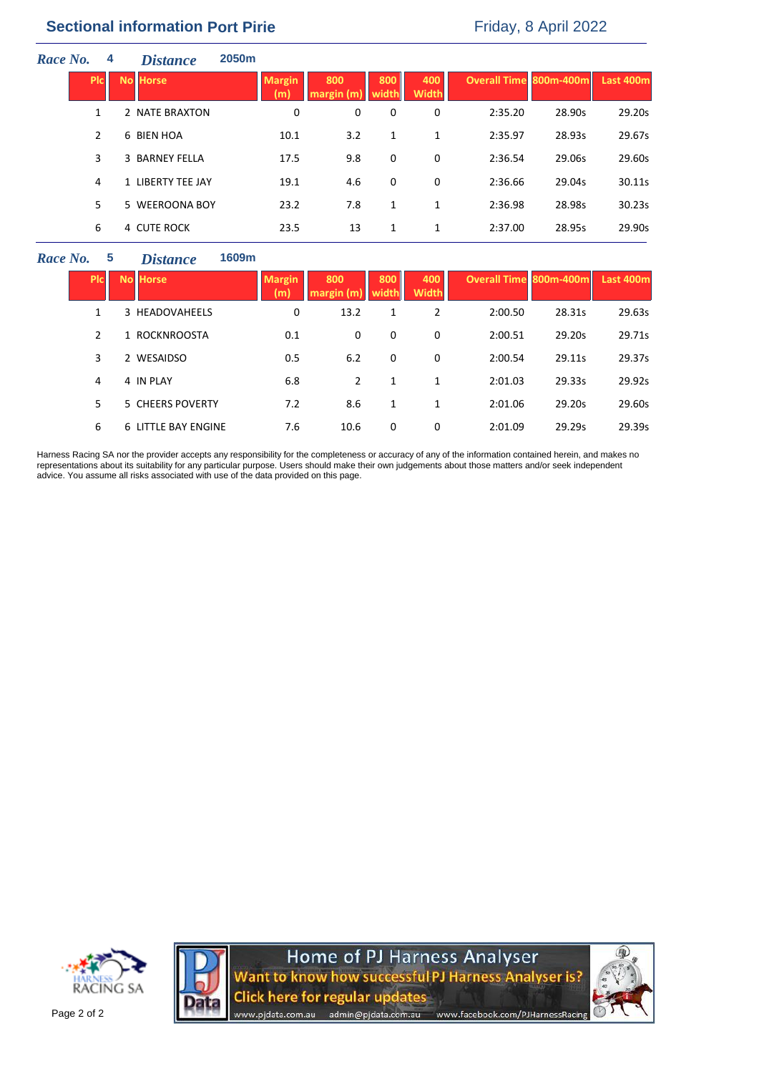# **Sectional information Port Pirie** Friday, 8 April 2022

| Race No. | 4            | <b>Distance</b>   | 2050 <sub>m</sub> |                      |                  |              |                     |                               |        |           |
|----------|--------------|-------------------|-------------------|----------------------|------------------|--------------|---------------------|-------------------------------|--------|-----------|
|          | <b>PIC</b>   | <b>No Horse</b>   |                   | <b>Margin</b><br>(m) | 800<br>maxgin(m) | 800<br>width | 400<br><b>Width</b> | <b>Overall Time 800m-400m</b> |        | Last 400m |
|          | $\mathbf{1}$ | 2 NATE BRAXTON    |                   | 0                    | 0                | 0            | 0                   | 2:35.20                       | 28.90s | 29.20s    |
|          | 2            | 6 BIEN HOA        |                   | 10.1                 | 3.2              | 1            | 1                   | 2:35.97                       | 28.93s | 29.67s    |
|          | 3            | 3 BARNEY FELLA    |                   | 17.5                 | 9.8              | 0            | 0                   | 2:36.54                       | 29.06s | 29.60s    |
|          | 4            | 1 LIBERTY TEE JAY |                   | 19.1                 | 4.6              | 0            | 0                   | 2:36.66                       | 29.04s | 30.11s    |
|          | 5.           | 5 WEEROONA BOY    |                   | 23.2                 | 7.8              | 1            | 1                   | 2:36.98                       | 28.98s | 30.23s    |
|          | 6            | 4 CUTE ROCK       |                   | 23.5                 | 13               | 1            | 1                   | 2:37.00                       | 28.95s | 29.90s    |

#### *Race No.* 5 *Dis*

| stance | 1609m |
|--------|-------|
|--------|-------|

| Plc | <b>No Horse</b>     | <b>Margin</b><br>(m) | 800<br>margin (m) | 800<br>width | 400<br><b>Width</b> | Overall Time 800m-400m |        | Last 400m |
|-----|---------------------|----------------------|-------------------|--------------|---------------------|------------------------|--------|-----------|
| 1   | 3 HEADOVAHEELS      | 0                    | 13.2              | 1            | 2                   | 2:00.50                | 28.31s | 29.63s    |
| 2   | 1 ROCKNROOSTA       | 0.1                  | 0                 | 0            | 0                   | 2:00.51                | 29.20s | 29.71s    |
| 3   | 2 WESAIDSO          | 0.5                  | 6.2               | 0            | 0                   | 2:00.54                | 29.11s | 29.37s    |
| 4   | 4 IN PLAY           | 6.8                  | $\overline{2}$    | 1            |                     | 2:01.03                | 29.33s | 29.92s    |
| 5   | 5 CHEERS POVERTY    | 7.2                  | 8.6               | 1            | 1                   | 2:01.06                | 29.20s | 29.60s    |
| 6   | 6 LITTLE BAY ENGINE | 7.6                  | 10.6              | 0            | 0                   | 2:01.09                | 29.29s | 29.39s    |

Harness Racing SA nor the provider accepts any responsibility for the completeness or accuracy of any of the information contained herein, and makes no representations about its suitability for any particular purpose. Users should make their own judgements about those matters and/or seek independent advice. You assume all risks associated with use of the data provided on this page.





Home of PJ Harness Analyser<br>Want to know how successful PJ Harness Analyser is? **Click here for regular updates** admin@pjdata.com.au www.facebook.com/PJHarnessRacing www.pidata.com.au